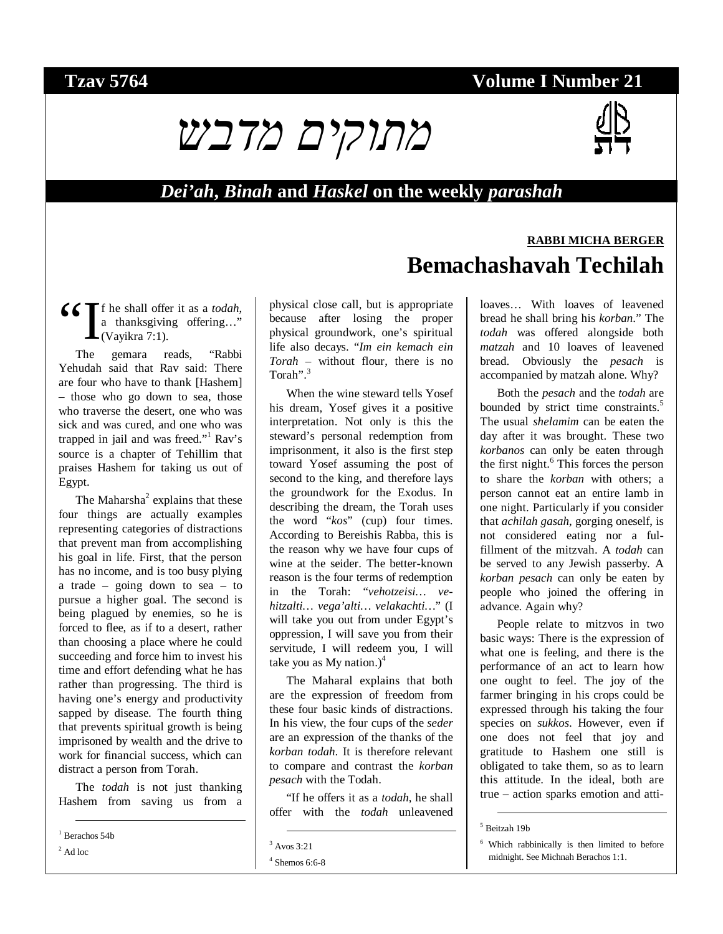## **Tzav 5764 Volume I Number 21**



#### *Dei'ah***,** *Binah* **and** *Haskel* **on the weekly** *parashah*

#### f he shall offer it as a *todah*, a thanksgiving offering…" (Vayikra 7:1).  $\frac{66}{1}$

The gemara reads, "Rabbi Yehudah said that Rav said: There are four who have to thank [Hashem] – those who go down to sea, those who traverse the desert, one who was sick and was cured, and one who was trapped in jail and was freed."<sup>1</sup> Rav's source is a chapter of Tehillim that praises Hashem for taking us out of Egypt.

The Maharsha<sup>2</sup> explains that these four things are actually examples representing categories of distractions that prevent man from accomplishing his goal in life. First, that the person has no income, and is too busy plying a trade – going down to sea – to pursue a higher goal. The second is being plagued by enemies, so he is forced to flee, as if to a desert, rather than choosing a place where he could succeeding and force him to invest his time and effort defending what he has rather than progressing. The third is having one's energy and productivity sapped by disease. The fourth thing that prevents spiritual growth is being imprisoned by wealth and the drive to work for financial success, which can distract a person from Torah.

The *todah* is not just thanking Hashem from saving us from a

 $2$  Ad loc

physical close call, but is appropriate because after losing the proper physical groundwork, one's spiritual life also decays. "*Im ein kemach ein Torah* – without flour, there is no Torah".<sup>3</sup>

When the wine steward tells Yosef his dream, Yosef gives it a positive interpretation. Not only is this the steward's personal redemption from imprisonment, it also is the first step toward Yosef assuming the post of second to the king, and therefore lays the groundwork for the Exodus. In describing the dream, the Torah uses the word "*kos*" (cup) four times. According to Bereishis Rabba, this is the reason why we have four cups of wine at the seider. The better-known reason is the four terms of redemption in the Torah: "*vehotzeisi… vehitzalti… vega'alti… velakachti…*" (I will take you out from under Egypt's oppression, I will save you from their servitude, I will redeem you, I will take you as My nation.) $<sup>4</sup>$ </sup>

The Maharal explains that both are the expression of freedom from these four basic kinds of distractions. In his view, the four cups of the *seder* are an expression of the thanks of the *korban todah*. It is therefore relevant to compare and contrast the *korban pesach* with the Todah.

"If he offers it as a *todah*, he shall offer with the *todah* unleavened

# **RABBI MICHA BERGER Bemachashavah Techilah**

loaves… With loaves of leavened bread he shall bring his *korban*." The *todah* was offered alongside both *matzah* and 10 loaves of leavened bread. Obviously the *pesach* is accompanied by matzah alone. Why?

Both the *pesach* and the *todah* are bounded by strict time constraints.<sup>5</sup> The usual *shelamim* can be eaten the day after it was brought. These two *korbanos* can only be eaten through the first night.<sup>6</sup> This forces the person to share the *korban* with others; a person cannot eat an entire lamb in one night. Particularly if you consider that *achilah gasah*, gorging oneself, is not considered eating nor a fulfillment of the mitzvah. A *todah* can be served to any Jewish passerby. A *korban pesach* can only be eaten by people who joined the offering in advance. Again why?

People relate to mitzvos in two basic ways: There is the expression of what one is feeling, and there is the performance of an act to learn how one ought to feel. The joy of the farmer bringing in his crops could be expressed through his taking the four species on *sukkos*. However, even if one does not feel that joy and gratitude to Hashem one still is obligated to take them, so as to learn this attitude. In the ideal, both are true – action sparks emotion and atti-

 <sup>1</sup> Berachos 54b

 <sup>3</sup> Avos 3:21

<sup>4</sup> Shemos 6:6-8

 <sup>5</sup> Beitzah 19b

<sup>6</sup> Which rabbinically is then limited to before midnight. See Michnah Berachos 1:1.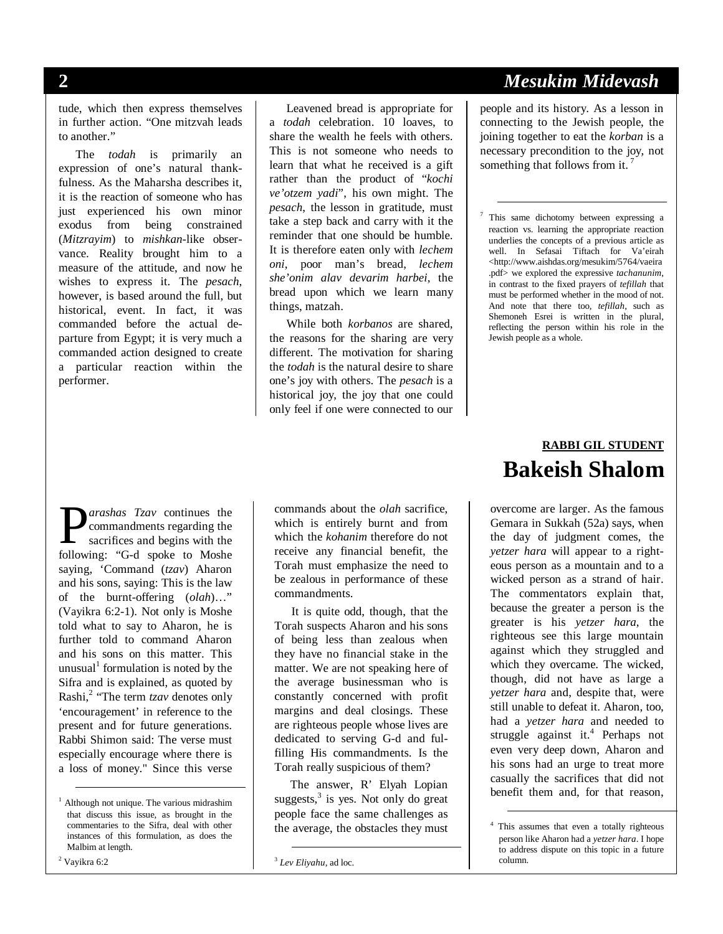tude, which then express themselves in further action. "One mitzvah leads to another."

The *todah* is primarily an expression of one's natural thankfulness. As the Maharsha describes it, it is the reaction of someone who has just experienced his own minor exodus from being constrained (*Mitzrayim*) to *mishkan*-like observance. Reality brought him to a measure of the attitude, and now he wishes to express it. The *pesach*, however, is based around the full, but historical, event. In fact, it was commanded before the actual departure from Egypt; it is very much a commanded action designed to create a particular reaction within the performer.

Leavened bread is appropriate for a *todah* celebration. 10 loaves, to share the wealth he feels with others. This is not someone who needs to learn that what he received is a gift rather than the product of "*kochi ve'otzem yadi*", his own might. The *pesach*, the lesson in gratitude, must take a step back and carry with it the reminder that one should be humble. It is therefore eaten only with *lechem oni*, poor man's bread, *lechem she'onim alav devarim harbei*, the bread upon which we learn many things, matzah.

While both *korbanos* are shared, the reasons for the sharing are very different. The motivation for sharing the *todah* is the natural desire to share one's joy with others. The *pesach* is a historical joy, the joy that one could only feel if one were connected to our

### **2** *Mesukim Midevash*

people and its history. As a lesson in connecting to the Jewish people, the joining together to eat the *korban* is a necessary precondition to the joy, not something that follows from it.<sup>7</sup>

 7 This same dichotomy between expressing a reaction vs. learning the appropriate reaction underlies the concepts of a previous article as well. In Sefasai Tiftach for Va'eirah <http://www.aishdas.org/mesukim/5764/vaeira .pdf> we explored the expressive *tachanunim*, in contrast to the fixed prayers of *tefillah* that must be performed whether in the mood of not. And note that there too, *tefillah*, such as Shemoneh Esrei is written in the plural, reflecting the person within his role in the Jewish people as a whole.

### **RABBI GIL STUDENT Bakeish Shalom**

overcome are larger. As the famous Gemara in Sukkah (52a) says, when the day of judgment comes, the *yetzer hara* will appear to a righteous person as a mountain and to a wicked person as a strand of hair. The commentators explain that, because the greater a person is the greater is his *yetzer hara*, the righteous see this large mountain against which they struggled and which they overcame. The wicked, though, did not have as large a *yetzer hara* and, despite that, were still unable to defeat it. Aharon, too, had a *yetzer hara* and needed to struggle against it.<sup>4</sup> Perhaps not even very deep down, Aharon and his sons had an urge to treat more casually the sacrifices that did not benefit them and, for that reason,

 4 This assumes that even a totally righteous person like Aharon had a *yetzer hara*. I hope to address dispute on this topic in a future column.

*arashas Tzav* continues the commandments regarding the sacrifices and begins with the **P**arashas Tzav continues the<br>commandments regarding the<br>sacrifices and begins with the<br>following: "G-d spoke to Moshe saying, 'Command (*tzav*) Aharon and his sons, saying: This is the law of the burnt-offering (*olah*)…" (Vayikra 6:2-1). Not only is Moshe told what to say to Aharon, he is further told to command Aharon and his sons on this matter. This unusual<sup>1</sup> formulation is noted by the Sifra and is explained, as quoted by Rashi,<sup>2</sup> "The term *tzav* denotes only 'encouragement' in reference to the present and for future generations. Rabbi Shimon said: The verse must especially encourage where there is a loss of money." Since this verse

 $2$  Vayikra 6:2

commands about the *olah* sacrifice, which is entirely burnt and from which the *kohanim* therefore do not receive any financial benefit, the Torah must emphasize the need to be zealous in performance of these commandments.

It is quite odd, though, that the Torah suspects Aharon and his sons of being less than zealous when they have no financial stake in the matter. We are not speaking here of the average businessman who is constantly concerned with profit margins and deal closings. These are righteous people whose lives are dedicated to serving G-d and fulfilling His commandments. Is the Torah really suspicious of them?

The answer, R' Elyah Lopian suggests, $3$  is yes. Not only do great people face the same challenges as the average, the obstacles they must

 <sup>1</sup> Although not unique. The various midrashim that discuss this issue, as brought in the commentaries to the Sifra, deal with other instances of this formulation, as does the Malbim at length.

 <sup>3</sup> *Lev Eliyahu*, ad loc.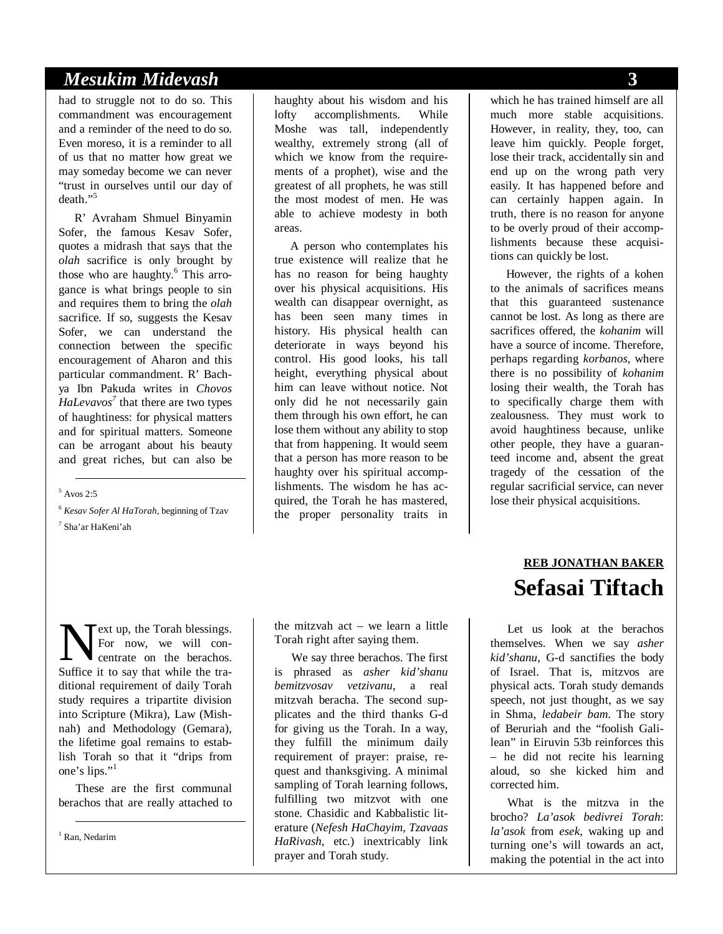#### *Mesukim Midevash* **3**

had to struggle not to do so. This commandment was encouragement and a reminder of the need to do so. Even moreso, it is a reminder to all of us that no matter how great we may someday become we can never "trust in ourselves until our day of death."<sup>5</sup>

R' Avraham Shmuel Binyamin Sofer, the famous Kesav Sofer, quotes a midrash that says that the *olah* sacrifice is only brought by those who are haughty.<sup>6</sup> This arrogance is what brings people to sin and requires them to bring the *olah* sacrifice. If so, suggests the Kesav Sofer, we can understand the connection between the specific encouragement of Aharon and this particular commandment. R' Bachya Ibn Pakuda writes in *Chovos HaLevavos7* that there are two types of haughtiness: for physical matters and for spiritual matters. Someone can be arrogant about his beauty and great riches, but can also be

# $5$  Avos 2:5

<sup>6</sup> *Kesav Sofer Al HaTorah*, beginning of Tzav 7 Sha'ar HaKeni'ah

haughty about his wisdom and his lofty accomplishments. While Moshe was tall, independently wealthy, extremely strong (all of which we know from the requirements of a prophet), wise and the greatest of all prophets, he was still the most modest of men. He was able to achieve modesty in both areas.

A person who contemplates his true existence will realize that he has no reason for being haughty over his physical acquisitions. His wealth can disappear overnight, as has been seen many times in history. His physical health can deteriorate in ways beyond his control. His good looks, his tall height, everything physical about him can leave without notice. Not only did he not necessarily gain them through his own effort, he can lose them without any ability to stop that from happening. It would seem that a person has more reason to be haughty over his spiritual accomplishments. The wisdom he has acquired, the Torah he has mastered, the proper personality traits in

ext up, the Torah blessings. For now, we will concentrate on the berachos. Suffice it to say that while the tra-<br>Suffice it to say that while the traditional requirement of daily Torah study requires a tripartite division into Scripture (Mikra), Law (Mishnah) and Methodology (Gemara), the lifetime goal remains to establish Torah so that it "drips from one's lips."<sup>1</sup>

These are the first communal berachos that are really attached to

1 Ran, Nedarim

the mitzvah act – we learn a little Torah right after saying them.

We say three berachos. The first is phrased as *asher kid'shanu bemitzvosav vetzivanu*, a real mitzvah beracha. The second supplicates and the third thanks G-d for giving us the Torah. In a way, they fulfill the minimum daily requirement of prayer: praise, request and thanksgiving. A minimal sampling of Torah learning follows, fulfilling two mitzvot with one stone. Chasidic and Kabbalistic literature (*Nefesh HaChayim*, *Tzavaas HaRivash*, etc.) inextricably link prayer and Torah study.

which he has trained himself are all much more stable acquisitions. However, in reality, they, too, can leave him quickly. People forget, lose their track, accidentally sin and end up on the wrong path very easily. It has happened before and can certainly happen again. In truth, there is no reason for anyone to be overly proud of their accomplishments because these acquisitions can quickly be lost.

However, the rights of a kohen to the animals of sacrifices means that this guaranteed sustenance cannot be lost. As long as there are sacrifices offered, the *kohanim* will have a source of income. Therefore, perhaps regarding *korbanos*, where there is no possibility of *kohanim* losing their wealth, the Torah has to specifically charge them with zealousness. They must work to avoid haughtiness because, unlike other people, they have a guaranteed income and, absent the great tragedy of the cessation of the regular sacrificial service, can never lose their physical acquisitions.

# **REB JONATHAN BAKER Sefasai Tiftach**

Let us look at the berachos themselves. When we say *asher kid'shanu*, G-d sanctifies the body of Israel. That is, mitzvos are physical acts. Torah study demands speech, not just thought, as we say in Shma, *ledabeir bam*. The story of Beruriah and the "foolish Galilean" in Eiruvin 53b reinforces this – he did not recite his learning aloud, so she kicked him and corrected him.

What is the mitzva in the brocho? *La'asok bedivrei Torah*: *la'asok* from *esek*, waking up and turning one's will towards an act, making the potential in the act into